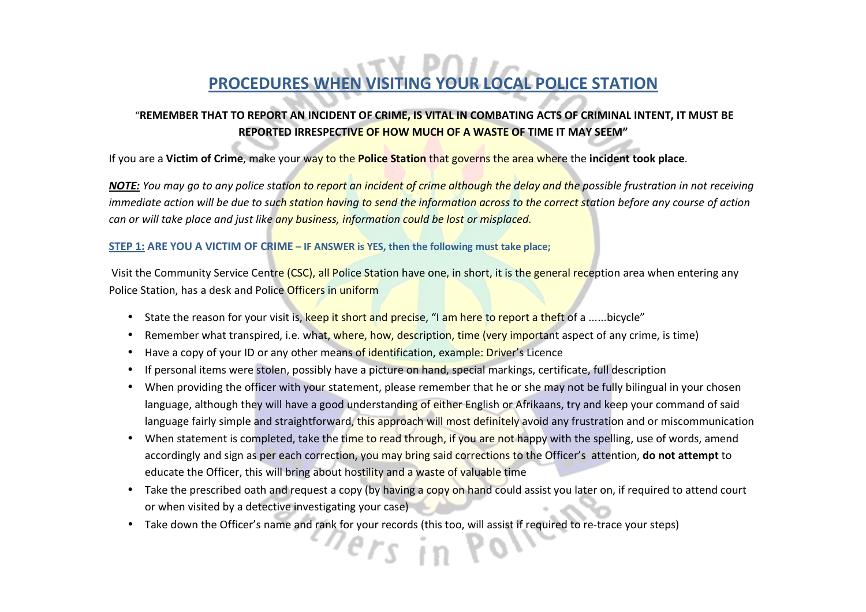# **PROCEDURES WHEN VISITING YOUR LOCAL POLICE STATION**

### "**REMEMBER THAT TO REPORT AN INCIDENT OF CRIME, IS VITAL IN COMBATING ACTS OF CRIMINAL INTENT, IT MUST BE REPORTED IRRESPECTIVE OF HOW MUCH OF A WASTE OF TIME IT MAY SEEM"**

If you are a **Victim of Crime**, make your way to the **Police Station** that governs the area where the **incident took place**.

*NOTE: You may go to any police station to report an incident of crime although the delay and the possible frustration in not receiving immediate action will be due to such station having to send the information across to the correct station before any course of action can or will take place and just like any business, information could be lost or misplaced.* 

#### **STEP 1: ARE YOU A VICTIM OF CRIME – IF ANSWER is YES, then the following must take place;**

Visit the Community Service Centre (CSC), all Police Station have one, in short, it is the general reception area when entering any Police Station, has a desk and Police Officers in uniform

- State the reason for your visit is, keep it short and precise, "I am here to report a theft of a ......bicycle"
- Remember what transpired, i.e. what, where, how, description, time (very important aspect of any crime, is time)
- •Have a copy of your ID or any other means of identification, example: Driver's Licence
- •If personal items were stolen, possibly have a picture on hand, special markings, certificate, full description
- When providing the officer with your statement, please remember that he or she may not be fully bilingual in your chosen language, although they will have a good understanding of either English or Afrikaans, try and keep your command of said language fairly simple and straightforward, this approach will most definitely avoid any frustration and or miscommunication
- When statement is completed, take the time to read through, if you are not happy with the spelling, use of words, amend accordingly and sign as per each correction, you may bring said corrections to the Officer's attention, **do not attempt** to educate the Officer, this will bring about hostility and a waste of valuable time
- Take the prescribed oath and request a copy (by having a copy on hand could assist you later on, if required to attend court or when visited by a detective investigating your case)
- Take down the Officer's name and rank for your records (this too, will assist if required to re-trace your steps)

ers in